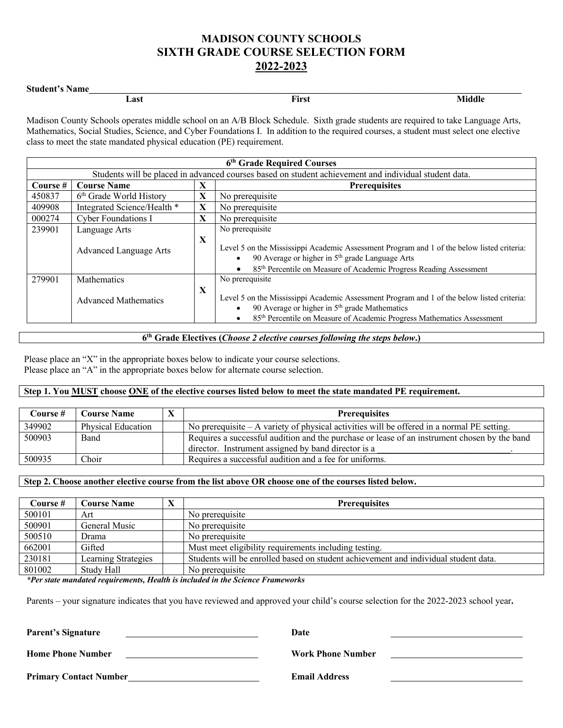# **MADISON COUNTY SCHOOLS SIXTH GRADE COURSE SELECTION FORM 2022-2023**

## Student's Name

| ____<br>. |      |       |             |
|-----------|------|-------|-------------|
|           | Last | First | $- - - - -$ |

Madison County Schools operates middle school on an A/B Block Schedule. Sixth grade students are required to take Language Arts, Mathematics, Social Studies, Science, and Cyber Foundations I. In addition to the required courses, a student must select one elective class to meet the state mandated physical education (PE) requirement.

|        | 6th Grade Required Courses                                                                                              |              |                                                                                                                                                                                                                                                               |  |  |  |
|--------|-------------------------------------------------------------------------------------------------------------------------|--------------|---------------------------------------------------------------------------------------------------------------------------------------------------------------------------------------------------------------------------------------------------------------|--|--|--|
|        | Students will be placed in advanced courses based on student achievement and individual student data.                   |              |                                                                                                                                                                                                                                                               |  |  |  |
|        | Course #<br><b>Course Name</b><br>X<br><b>Prerequisites</b>                                                             |              |                                                                                                                                                                                                                                                               |  |  |  |
| 450837 | 6 <sup>th</sup> Grade World History                                                                                     | X            | No prerequisite                                                                                                                                                                                                                                               |  |  |  |
| 409908 | Integrated Science/Health *                                                                                             | $\mathbf{X}$ | No prerequisite                                                                                                                                                                                                                                               |  |  |  |
| 000274 | <b>Cyber Foundations I</b>                                                                                              | $\mathbf{X}$ | No prerequisite                                                                                                                                                                                                                                               |  |  |  |
| 239901 | No prerequisite<br>Language Arts                                                                                        |              |                                                                                                                                                                                                                                                               |  |  |  |
|        | <b>Advanced Language Arts</b>                                                                                           | X            | Level 5 on the Mississippi Academic Assessment Program and 1 of the below listed criteria:<br>90 Average or higher in $5th$ grade Language Arts<br>$\bullet$<br>$\bullet$                                                                                     |  |  |  |
| 279901 | 85 <sup>th</sup> Percentile on Measure of Academic Progress Reading Assessment<br>No prerequisite<br><b>Mathematics</b> |              |                                                                                                                                                                                                                                                               |  |  |  |
|        | <b>Advanced Mathematics</b>                                                                                             | X            | Level 5 on the Mississippi Academic Assessment Program and 1 of the below listed criteria:<br>90 Average or higher in $5th$ grade Mathematics<br>$\bullet$<br>85 <sup>th</sup> Percentile on Measure of Academic Progress Mathematics Assessment<br>$\bullet$ |  |  |  |

## **6th Grade Electives (***Choose 2 elective courses following the steps below***.)**

Please place an "X" in the appropriate boxes below to indicate your course selections. Please place an "A" in the appropriate boxes below for alternate course selection.

## **Step 1. You MUST choose ONE of the elective courses listed below to meet the state mandated PE requirement.**

| Course # | <b>Course Name</b> | <b>Prerequisites</b>                                                                                                                                |
|----------|--------------------|-----------------------------------------------------------------------------------------------------------------------------------------------------|
| 349902   | Physical Education | No prerequisite $- A$ variety of physical activities will be offered in a normal PE setting.                                                        |
| 500903   | Band               | Requires a successful audition and the purchase or lease of an instrument chosen by the band<br>director. Instrument assigned by band director is a |
| 500935   | Choir              | Requires a successful audition and a fee for uniforms.                                                                                              |

## **Step 2. Choose another elective course from the list above OR choose one of the courses listed below.**

| Course # | <b>Course Name</b>  | <b>Prerequisites</b>                                                                |
|----------|---------------------|-------------------------------------------------------------------------------------|
| 500101   | Art                 | No prerequisite                                                                     |
| 500901   | General Music       | No prerequisite                                                                     |
| 500510   | Drama               | No prerequisite                                                                     |
| 662001   | Gifted              | Must meet eligibility requirements including testing.                               |
| 230181   | Learning Strategies | Students will be enrolled based on student achievement and individual student data. |
| 801002   | Study Hall          | No prerequisite                                                                     |

*\*Per state mandated requirements, Health is included in the Science Frameworks*

Parents – your signature indicates that you have reviewed and approved your child's course selection for the 2022-2023 school year**.** 

| <b>Parent's Signature</b>     | Date                     |
|-------------------------------|--------------------------|
| <b>Home Phone Number</b>      | <b>Work Phone Number</b> |
| <b>Primary Contact Number</b> | <b>Email Address</b>     |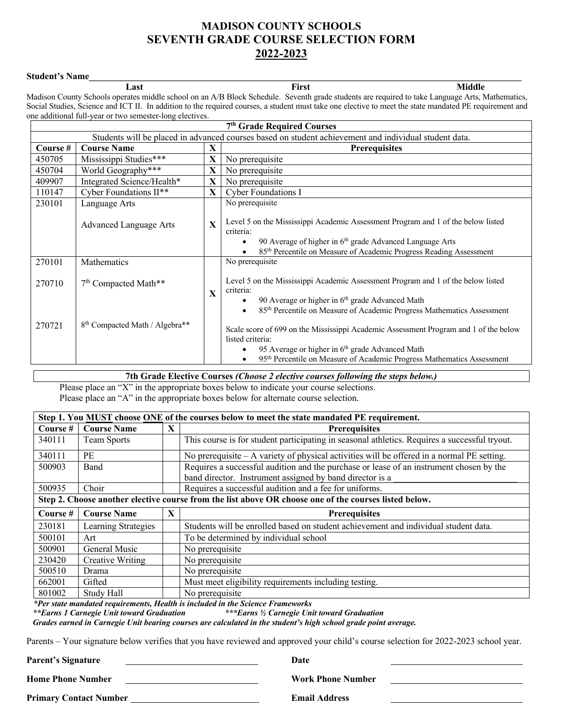## **MADISON COUNTY SCHOOLS SEVENTH GRADE COURSE SELECTION FORM 2022-2023**

**Student's Name\_\_\_\_\_\_\_\_\_\_\_\_\_\_\_\_\_\_\_\_\_\_\_\_\_\_\_\_\_\_\_\_\_\_\_\_\_\_\_\_\_\_\_\_\_\_\_\_\_\_\_\_\_\_\_\_\_\_\_\_\_\_\_\_\_\_\_\_\_\_\_\_\_\_\_\_\_\_\_\_\_\_\_\_\_\_\_\_\_\_\_\_\_\_ Last First Middle** Madison County Schools operates middle school on an A/B Block Schedule. Seventh grade students are required to take Language Arts, Mathematics, Social Studies, Science and ICT II. In addition to the required courses, a student must take one elective to meet the state mandated PE requirement and one additional full-year or two semester-long electives.

|          | 7 <sup>th</sup> Grade Required Courses                                                                |              |                                                                                                                                                                                                                                                                      |  |  |  |  |
|----------|-------------------------------------------------------------------------------------------------------|--------------|----------------------------------------------------------------------------------------------------------------------------------------------------------------------------------------------------------------------------------------------------------------------|--|--|--|--|
|          | Students will be placed in advanced courses based on student achievement and individual student data. |              |                                                                                                                                                                                                                                                                      |  |  |  |  |
| Course # | <b>Course Name</b><br>X<br><b>Prerequisites</b>                                                       |              |                                                                                                                                                                                                                                                                      |  |  |  |  |
| 450705   | Mississippi Studies***                                                                                | X            | No prerequisite                                                                                                                                                                                                                                                      |  |  |  |  |
| 450704   | World Geography***                                                                                    | X            | No prerequisite                                                                                                                                                                                                                                                      |  |  |  |  |
| 409907   | Integrated Science/Health*                                                                            | X            | No prerequisite                                                                                                                                                                                                                                                      |  |  |  |  |
| 110147   | Cyber Foundations II**                                                                                | X            | <b>Cyber Foundations I</b>                                                                                                                                                                                                                                           |  |  |  |  |
| 230101   | Language Arts                                                                                         |              | No prerequisite                                                                                                                                                                                                                                                      |  |  |  |  |
|          | <b>Advanced Language Arts</b>                                                                         | $\mathbf{X}$ | Level 5 on the Mississippi Academic Assessment Program and 1 of the below listed<br>criteria:<br>90 Average of higher in 6 <sup>th</sup> grade Advanced Language Arts<br>$\bullet$<br>85 <sup>th</sup> Percentile on Measure of Academic Progress Reading Assessment |  |  |  |  |
| 270101   | Mathematics                                                                                           |              | No prerequisite                                                                                                                                                                                                                                                      |  |  |  |  |
| 270710   | 7 <sup>th</sup> Compacted Math**                                                                      | X            | Level 5 on the Mississippi Academic Assessment Program and 1 of the below listed<br>criteria:<br>90 Average or higher in 6 <sup>th</sup> grade Advanced Math<br>$\bullet$                                                                                            |  |  |  |  |
|          |                                                                                                       |              | 85 <sup>th</sup> Percentile on Measure of Academic Progress Mathematics Assessment<br>$\bullet$                                                                                                                                                                      |  |  |  |  |
| 270721   | 8 <sup>th</sup> Compacted Math / Algebra**                                                            |              | Scale score of 699 on the Mississippi Academic Assessment Program and 1 of the below<br>listed criteria:                                                                                                                                                             |  |  |  |  |
|          |                                                                                                       |              | 95 Average or higher in 6 <sup>th</sup> grade Advanced Math                                                                                                                                                                                                          |  |  |  |  |
|          | 95 <sup>th</sup> Percentile on Measure of Academic Progress Mathematics Assessment                    |              |                                                                                                                                                                                                                                                                      |  |  |  |  |

**7th Grade Elective Courses** *(Choose 2 elective courses following the steps below.)*

Please place an "X" in the appropriate boxes below to indicate your course selections.

Please place an "A" in the appropriate boxes below for alternate course selection.

|            | Step 1. You MUST choose ONE of the courses below to meet the state mandated PE requirement. |   |                                                                                                       |  |  |  |  |
|------------|---------------------------------------------------------------------------------------------|---|-------------------------------------------------------------------------------------------------------|--|--|--|--|
| Course $#$ | <b>Course Name</b>                                                                          | X | <b>Prerequisites</b>                                                                                  |  |  |  |  |
| 340111     | Team Sports                                                                                 |   | This course is for student participating in seasonal athletics. Requires a successful tryout.         |  |  |  |  |
| 340111     | PE                                                                                          |   | No prerequisite – A variety of physical activities will be offered in a normal PE setting.            |  |  |  |  |
| 500903     | Band                                                                                        |   | Requires a successful audition and the purchase or lease of an instrument chosen by the               |  |  |  |  |
|            |                                                                                             |   | band director. Instrument assigned by band director is a                                              |  |  |  |  |
| 500935     | Choir                                                                                       |   | Requires a successful audition and a fee for uniforms.                                                |  |  |  |  |
|            |                                                                                             |   | Step 2. Choose another elective course from the list above OR choose one of the courses listed below. |  |  |  |  |
| Course #   | <b>Course Name</b>                                                                          | X | <b>Prerequisites</b>                                                                                  |  |  |  |  |
| 230181     | Learning Strategies                                                                         |   | Students will be enrolled based on student achievement and individual student data.                   |  |  |  |  |
| 500101     | Art                                                                                         |   | To be determined by individual school                                                                 |  |  |  |  |
| 500901     | General Music                                                                               |   | No prerequisite                                                                                       |  |  |  |  |
| 230420     | Creative Writing                                                                            |   | No prerequisite                                                                                       |  |  |  |  |
| 500510     | Drama                                                                                       |   | No prerequisite                                                                                       |  |  |  |  |
| 662001     | Gifted                                                                                      |   | Must meet eligibility requirements including testing.                                                 |  |  |  |  |
| 801002     | Study Hall                                                                                  |   | No prerequisite                                                                                       |  |  |  |  |

 *\*Per state mandated requirements, Health is included in the Science Frameworks \*\*Earns 1 Carnegie Unit toward Graduation \*\*\*Earns ½ Carnegie Unit toward Graduation*

 *Grades earned in Carnegie Unit bearing courses are calculated in the student's high school grade point average.* 

Parents – Your signature below verifies that you have reviewed and approved your child's course selection for 2022-2023 school year.

**Parent's Signature Date** 

**Home Phone Number Work Phone Number** 

Primary Contact Number **Email Address**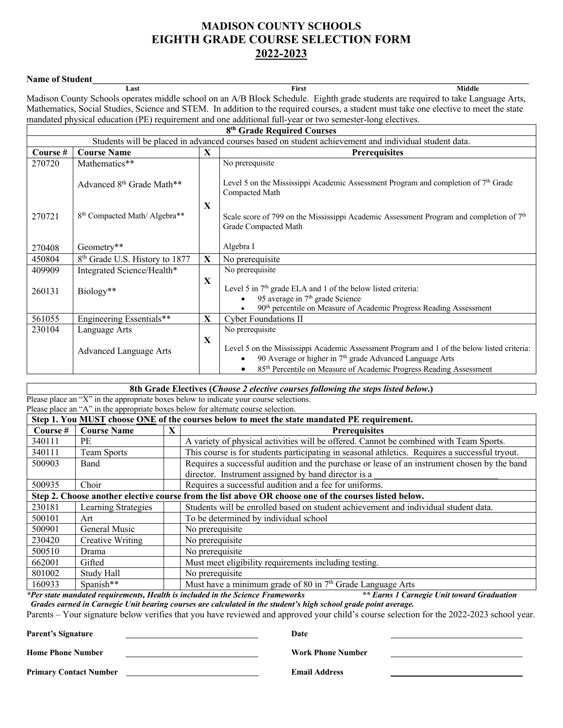# **MADISON COUNTY SCHOOLS EIGHTH GRADE COURSE SELECTION FORM 2022-2023**

**Name of Student\_\_\_\_\_\_\_\_\_\_\_\_\_\_\_\_\_\_\_\_\_\_\_\_\_\_\_\_\_\_\_\_\_\_\_\_\_\_\_\_\_\_\_\_\_\_\_\_\_\_\_\_\_\_\_\_\_\_\_\_\_\_\_\_\_\_\_\_\_\_\_\_\_\_\_\_\_\_\_\_\_\_\_\_\_\_\_\_\_\_\_\_\_\_\_ Last First Middle** Madison County Schools operates middle school on an A/B Block Schedule. Eighth grade students are required to take Language Arts, Mathematics, Social Studies, Science and STEM. In addition to the required courses, a student must take one elective to meet the state mandated physical education (PE) requirement and one additional full-year or two semester-long electives.

| 8 <sup>th</sup> Grade Required Courses                      |                                                                                                       |             |                                                                                                                                                                                                                                            |  |  |  |  |
|-------------------------------------------------------------|-------------------------------------------------------------------------------------------------------|-------------|--------------------------------------------------------------------------------------------------------------------------------------------------------------------------------------------------------------------------------------------|--|--|--|--|
|                                                             | Students will be placed in advanced courses based on student achievement and individual student data. |             |                                                                                                                                                                                                                                            |  |  |  |  |
| Course #<br><b>Course Name</b><br>X<br><b>Prerequisites</b> |                                                                                                       |             |                                                                                                                                                                                                                                            |  |  |  |  |
| 270720                                                      | Mathematics**                                                                                         |             | No prerequisite                                                                                                                                                                                                                            |  |  |  |  |
|                                                             | Advanced 8 <sup>th</sup> Grade Math**                                                                 |             | Level 5 on the Mississippi Academic Assessment Program and completion of $7th$ Grade<br>Compacted Math                                                                                                                                     |  |  |  |  |
| 270721                                                      | 8 <sup>th</sup> Compacted Math/Algebra**                                                              | X           | Scale score of 799 on the Mississippi Academic Assessment Program and completion of $7th$<br>Grade Compacted Math                                                                                                                          |  |  |  |  |
| 270408                                                      | Geometry**                                                                                            |             | Algebra I                                                                                                                                                                                                                                  |  |  |  |  |
| 450804                                                      | 8 <sup>th</sup> Grade U.S. History to 1877                                                            | X           | No prerequisite                                                                                                                                                                                                                            |  |  |  |  |
| 409909                                                      | Integrated Science/Health*                                                                            |             | No prerequisite                                                                                                                                                                                                                            |  |  |  |  |
| 260131                                                      | Biology**                                                                                             | $\mathbf X$ | Level 5 in $7th$ grade ELA and 1 of the below listed criteria:<br>95 average in 7 <sup>th</sup> grade Science<br>90 <sup>th</sup> percentile on Measure of Academic Progress Reading Assessment                                            |  |  |  |  |
| 561055                                                      | Engineering Essentials**                                                                              | X           | <b>Cyber Foundations II</b>                                                                                                                                                                                                                |  |  |  |  |
| 230104                                                      | Language Arts                                                                                         |             | No prerequisite                                                                                                                                                                                                                            |  |  |  |  |
|                                                             | <b>Advanced Language Arts</b>                                                                         | $\mathbf X$ | Level 5 on the Mississippi Academic Assessment Program and 1 of the below listed criteria:<br>90 Average or higher in $7th$ grade Advanced Language Arts<br>85 <sup>th</sup> Percentile on Measure of Academic Progress Reading Assessment |  |  |  |  |

**8th Grade Electives (***Choose 2 elective courses following the steps listed below***.)** Please place an "X" in the appropriate boxes below to indicate your course selections. Please place an "A" in the appropriate boxes below for alternate course selection. **Step 1. You MUST choose ONE of the courses below to meet the state mandated PE requirement. Course # Course Name X Prerequisites** 340111 PE A variety of physical activities will be offered. Cannot be combined with Team Sports. 340111 Team Sports This course is for students participating in seasonal athletics. Requires a successful tryout. 500903 Band Requires a successful audition and the purchase or lease of an instrument chosen by the band director. Instrument assigned by band director is a 500935 Choir Requires a successful audition and a fee for uniforms. **Step 2. Choose another elective course from the list above OR choose one of the courses listed below.** 230181 Learning Strategies Students will be enrolled based on student achievement and individual student data. 500101 Art To be determined by individual school 500901 General Music No prerequisite 230420 Creative Writing | No prerequisite 500510 Drama No prerequisite 662001 Gifted Must meet eligibility requirements including testing. 801002 Study Hall No prerequisite 160933 Spanish\*\* Must have a minimum grade of 80 in  $7<sup>th</sup>$  Grade Language Arts

*\*Per state mandated requirements, Health is included in the Science Frameworks \*\* Earns 1 Carnegie Unit toward Graduation Grades earned in Carnegie Unit bearing courses are calculated in the student's high school grade point average.* 

Parents – Your signature below verifies that you have reviewed and approved your child's course selection for the 2022-2023 school year.

**Parent's Signature Date** Date

**Home Phone Number Work Phone Number**

**Primary Contact Number Email Address Email Address Email Address Email Address**